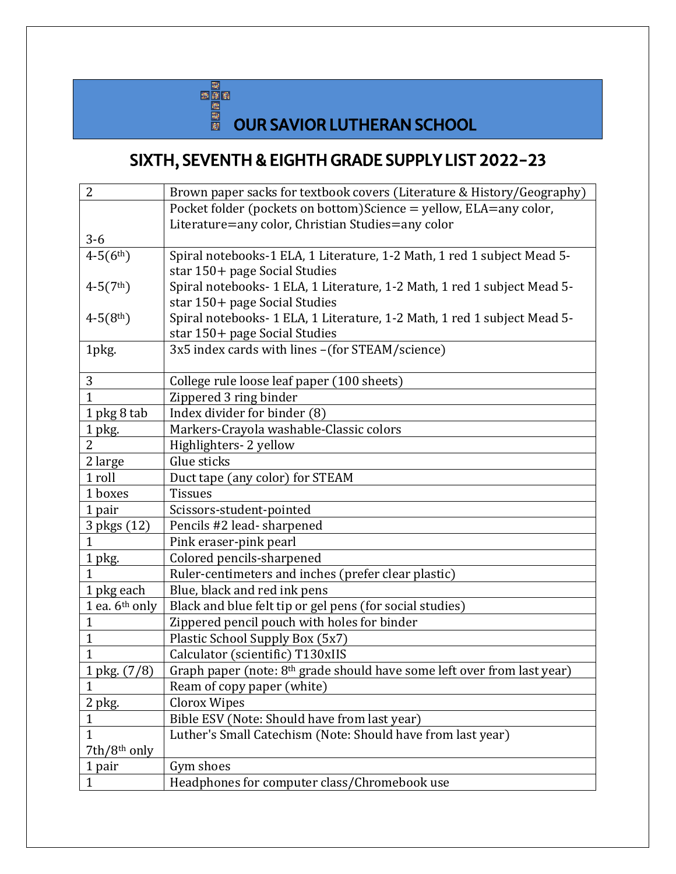

## **DEER<br>EN OUR SAVIOR LUTHERAN SCHOOL**

## SIXTH, SEVENTH & EIGHTH GRADE SUPPLY LIST 2022-23

| $\overline{2}$           | Brown paper sacks for textbook covers (Literature & History/Geography)              |
|--------------------------|-------------------------------------------------------------------------------------|
|                          | Pocket folder (pockets on bottom) Science = yellow, ELA=any color,                  |
|                          | Literature=any color, Christian Studies=any color                                   |
| $3-6$                    |                                                                                     |
| $4-5(6th)$               | Spiral notebooks-1 ELA, 1 Literature, 1-2 Math, 1 red 1 subject Mead 5-             |
|                          | star 150+ page Social Studies                                                       |
| $4-5(7th)$               | Spiral notebooks- 1 ELA, 1 Literature, 1-2 Math, 1 red 1 subject Mead 5-            |
|                          | star 150+ page Social Studies                                                       |
| $4-5(8th)$               | Spiral notebooks- 1 ELA, 1 Literature, 1-2 Math, 1 red 1 subject Mead 5-            |
|                          | star 150+ page Social Studies                                                       |
| 1pkg.                    | 3x5 index cards with lines - (for STEAM/science)                                    |
|                          |                                                                                     |
| 3                        | College rule loose leaf paper (100 sheets)                                          |
| $\overline{1}$           | Zippered 3 ring binder                                                              |
| 1 pkg 8 tab              | Index divider for binder (8)                                                        |
| 1 pkg.                   | Markers-Crayola washable-Classic colors                                             |
| $\overline{2}$           | Highlighters- 2 yellow                                                              |
| 2 large                  | Glue sticks                                                                         |
| 1 roll                   | Duct tape (any color) for STEAM                                                     |
| 1 boxes                  | <b>Tissues</b>                                                                      |
| 1 pair                   | Scissors-student-pointed                                                            |
| 3 pkgs (12)              | Pencils #2 lead-sharpened                                                           |
| 1                        | Pink eraser-pink pearl                                                              |
| 1 pkg.                   | Colored pencils-sharpened                                                           |
| 1                        | Ruler-centimeters and inches (prefer clear plastic)                                 |
| 1 pkg each               | Blue, black and red ink pens                                                        |
| 1 ea. $6th$ only         | Black and blue felt tip or gel pens (for social studies)                            |
| $\mathbf{1}$             | Zippered pencil pouch with holes for binder                                         |
| $\mathbf{1}$             | Plastic School Supply Box (5x7)                                                     |
| 1                        | Calculator (scientific) T130xIIS                                                    |
| 1 pkg. (7/8)             | Graph paper (note: 8 <sup>th</sup> grade should have some left over from last year) |
| 1                        | Ream of copy paper (white)                                                          |
| 2 pkg.                   | <b>Clorox Wipes</b>                                                                 |
| $\mathbf{1}$             | Bible ESV (Note: Should have from last year)                                        |
| $\mathbf{1}$             | Luther's Small Catechism (Note: Should have from last year)                         |
| 7th/8 <sup>th</sup> only |                                                                                     |
| 1 pair                   | Gym shoes                                                                           |
| 1                        | Headphones for computer class/Chromebook use                                        |